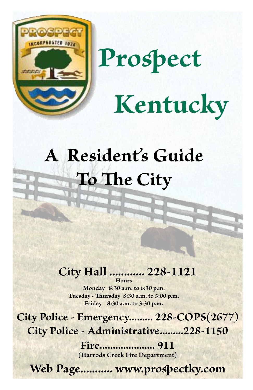

# **Prospect Kentucky**

# **A Resident's Guide To The City**

### **City Hall ............ 228-1121 Hours**

**Monday 8:30 a.m. to 6:30 p.m. Tuesday - Thursday 8:30 a.m. to 5:00 p.m. Friday 8:30 a.m. to 3:30 p.m.**

**City Police - Emergency......... 228-COPS(2677) City Police - Administrative.........228-1150**

> **Fire..................... 911 (Harrods Creek Fire Department)**

**Web Page........... www.prospectky.com**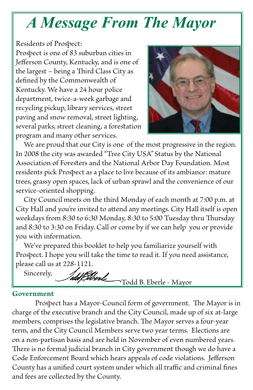## *A Message From The Mayor*

Residents of Prospect: Prospect is one of 83 suburban cities in Jefferson County, Kentucky, and is one of the largest – being a Third Class City as defined by the Commonwealth of Kentucky. We have a 24 hour police department, twice-a-week garbage and recycling pickup, library services, street paving and snow removal, street lighting, several parks, street cleaning, a forestation program and many other services.



 We are proud that our City is one of the most progressive in the region. In 2008 the city was awarded "Tree City USA" Status by the National Association of Foresters and the National Arbor Day Foundation. Most residents pick Prospect as a place to live because of its ambiance: mature trees, grassy open spaces, lack of urban sprawl and the convenience of our service-oriented shopping.

 City Council meets on the third Monday of each month at 7:00 p.m. at City Hall and you're invited to attend any meetings. City Hall itself is open weekdays from 8:30 to 6:30 Monday, 8:30 to 5:00 Tuesday thru Thursday and 8:30 to 3:30 on Friday. Call or come by if we can help you or provide you with information.

 We've prepared this booklet to help you familiarize yourself with Prospect. I hope you will take the time to read it. If you need assistance, please call us at 228-1121.

 Sincerely, **Stond Todd B. Eberle - Mayor** 

#### **Government**

Prospect has a Mayor-Council form of government. The Mayor is in charge of the executive branch and the City Council, made up of six at-large members, comprises the legislative branch. The Mayor serves a four-year term, and the City Council Members serve two year terms. Elections are on a non-partisan basis and are held in November of even numbered years. There is no formal judicial branch in City government though we do have a Code Enforcement Board which hears appeals of code violations. Jefferson County has a unified court system under which all traffic and criminal fines and fees are collected by the County.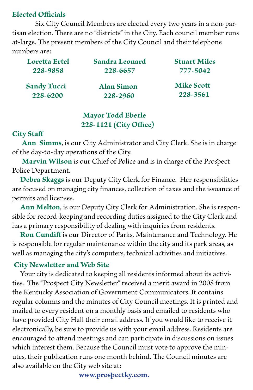#### **Elected Officials**

 Six City Council Members are elected every two years in a non-partisan election. There are no "districts" in the City. Each council member runs at-large. The present members of the City Council and their telephone numbers are:

| Loretta Ertel                  | Sandra Leonard                | <b>Stuart Miles</b>           |
|--------------------------------|-------------------------------|-------------------------------|
| 228-9858                       | 228-6657                      | 777-5042                      |
| <b>Sandy Tucci</b><br>228-6200 | <b>Alan Simon</b><br>228-2960 | <b>Mike Scott</b><br>228-3561 |

#### **Mayor Todd Eberle 228-1121 (City Office)**

#### **City Staff**

 **Ann Simms**, is our City Administrator and City Clerk. She is in charge of the day-to-day operations of the City.

 **Marvin Wilson** is our Chief of Police and is in charge of the Prospect Police Department.

 **Debra Skaggs** is our Deputy City Clerk for Finance. Her responsibilities are focused on managing city finances, collection of taxes and the issuance of permits and licenses.

 **Ann Melton**, is our Deputy City Clerk for Administration. She is responsible for record-keeping and recording duties assigned to the City Clerk and has a primary responsibility of dealing with inquiries from residents.

 **Ron Cundiff** is our Director of Parks, Maintenance and Technology. He is responsible for regular maintenance within the city and its park areas, as well as managing the city's computers, technical activities and initiatives.

#### **City Newsletter and Web Site**

 Your city is dedicated to keeping all residents informed about its activities. The "Prospect City Newsletter" received a merit award in 2008 from the Kentucky Association of Government Communicators. It contains regular columns and the minutes of City Council meetings. It is printed and mailed to every resident on a monthly basis and emailed to residents who have provided City Hall their email address. If you would like to receive it electronically, be sure to provide us with your email address. Residents are encouraged to attend meetings and can participate in discussions on issues which interest them. Because the Council must vote to approve the minutes, their publication runs one month behind. The Council minutes are also available on the City web site at:

 **www.prospectky.com.**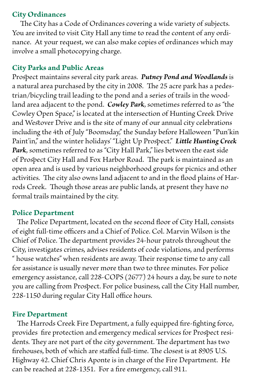#### **City Ordinances**

 The City has a Code of Ordinances covering a wide variety of subjects. You are invited to visit City Hall any time to read the content of any ordinance. At your request, we can also make copies of ordinances which may involve a small photocopying charge.

#### **City Parks and Public Areas**

Prospect maintains several city park areas. *Putney Pond and Woodlands* is a natural area purchased by the city in 2008. The 25 acre park has a pedestrian/bicycling trail leading to the pond and a series of trails in the woodland area adjacent to the pond. *Cowley Park*, sometimes referred to as "the Cowley Open Space," is located at the intersection of Hunting Creek Drive and Westover Drive and is the site of many of our annual city celebrations including the 4th of July "Boomsday," the Sunday before Halloween "Pun'kin Paint'in," and the winter holidays' "Light Up Prospect." *Little Hunting Creek*  Park, sometimes referred to as "City Hall Park," lies between the east side of Prospect City Hall and Fox Harbor Road. The park is maintained as an open area and is used by various neighborhood groups for picnics and other activities. The city also owns land adjacent to and in the flood plains of Harrods Creek. Though those areas are public lands, at present they have no formal trails maintained by the city.

#### **Police Department**

 The Police Department, located on the second floor of City Hall, consists of eight full-time officers and a Chief of Police. Col. Marvin Wilson is the Chief of Police. The department provides 24-hour patrols throughout the City, investigates crimes, advises residents of code violations, and performs " house watches" when residents are away. Their response time to any call for assistance is usually never more than two to three minutes. For police emergency assistance, call 228-COPS (2677) 24 hours a day, be sure to note you are calling from Prospect. For police business, call the City Hall number, 228-1150 during regular City Hall office hours.

#### **Fire Department**

 The Harrods Creek Fire Department, a fully equipped fire-fighting force, provides fire protection and emergency medical services for Prospect residents. They are not part of the city government. The department has two firehouses, both of which are staffed full-time. The closest is at 8905 U.S. Highway 42. Chief Chris Aponte is in charge of the Fire Department. He can be reached at 228-1351. For a fire emergency, call 911.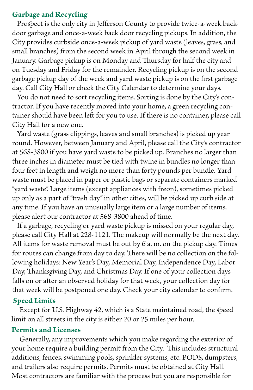#### **Garbage and Recycling**

 Prospect is the only city in Jefferson County to provide twice-a-week backdoor garbage and once-a-week back door recycling pickups. In addition, the City provides curbside once-a-week pickup of yard waste (leaves, grass, and small branches) from the second week in April through the second week in January. Garbage pickup is on Monday and Thursday for half the city and on Tuesday and Friday for the remainder. Recycling pickup is on the second garbage pickup day of the week and yard waste pickup is on the first garbage day. Call City Hall or check the City Calendar to determine your days.

 You do not need to sort recycling items. Sorting is done by the City's contractor. If you have recently moved into your home, a green recycling container should have been left for you to use. If there is no container, please call City Hall for a new one.

 Yard waste (grass clippings, leaves and small branches) is picked up year round. However, between January and April, please call the City's contractor at 568-3800 if you have yard waste to be picked up. Branches no larger than three inches in diameter must be tied with twine in bundles no longer than four feet in length and weigh no more than forty pounds per bundle. Yard waste must be placed in paper or plastic bags or separate containers marked "yard waste". Large items (except appliances with freon), sometimes picked up only as a part of "trash day" in other cities, will be picked up curb side at any time. If you have an unusually large item or a large number of items, please alert our contractor at 568-3800 ahead of time.

 If a garbage, recycling or yard waste pickup is missed on your regular day, please call City Hall at 228-1121. The makeup will normally be the next day. All items for waste removal must be out by 6 a. m. on the pickup day. Times for routes can change from day to day. There will be no collection on the following holidays: New Year's Day, Memorial Day, Independence Day, Labor Day, Thanksgiving Day, and Christmas Day. If one of your collection days falls on or after an observed holiday for that week, your collection day for that week will be postponed one day. Check your city calendar to confirm.

#### **Speed Limits**

 Except for U.S. Highway 42, which is a State maintained road, the speed limit on all streets in the city is either 20 or 25 miles per hour.

#### **Permits and Licenses**

 Generally, any improvements which you make regarding the exterior of your home require a building permit from the City. This includes structural additions, fences, swimming pools, sprinkler systems, etc. PODS, dumpsters, and trailers also require permits. Permits must be obtained at City Hall. Most contractors are familiar with the process but you are responsible for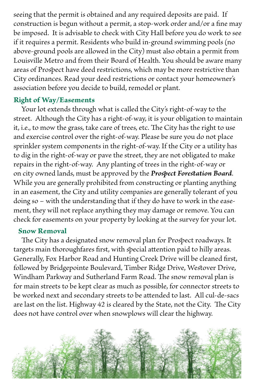seeing that the permit is obtained and any required deposits are paid. If construction is begun without a permit, a stop-work order and/or a fine may be imposed. It is advisable to check with City Hall before you do work to see if it requires a permit. Residents who build in-ground swimming pools (no above-ground pools are allowed in the City) must also obtain a permit from Louisville Metro and from their Board of Health. You should be aware many areas of Prospect have deed restrictions, which may be more restrictive than City ordinances. Read your deed restrictions or contact your homeowner's association before you decide to build, remodel or plant.

#### **Right of Way/Easements**

 Your lot extends through what is called the City's right-of-way to the street. Although the City has a right-of-way, it is your obligation to maintain it, i.e., to mow the grass, take care of trees, etc. The City has the right to use and exercise control over the right-of-way. Please be sure you do not place sprinkler system components in the right-of-way. If the City or a utility has to dig in the right-of-way or pave the street, they are not obligated to make repairs in the right-of-way. Any planting of trees in the right-of-way or on city owned lands, must be approved by the *Prospect Forestation Board*. While you are generally prohibited from constructing or planting anything in an easement, the City and utility companies are generally tolerant of you doing so – with the understanding that if they do have to work in the easement, they will not replace anything they may damage or remove. You can check for easements on your property by looking at the survey for your lot.

#### **Snow Removal**

 The City has a designated snow removal plan for Prospect roadways. It targets main thoroughfares first, with special attention paid to hilly areas. Generally, Fox Harbor Road and Hunting Creek Drive will be cleaned first, followed by Bridgepointe Boulevard, Timber Ridge Drive, Westover Drive, Windham Parkway and Sutherland Farm Road. The snow removal plan is for main streets to be kept clear as much as possible, for connector streets to be worked next and secondary streets to be attended to last. All cul-de-sacs are last on the list. Highway 42 is cleared by the State, not the City. The City does not have control over when snowplows will clear the highway.

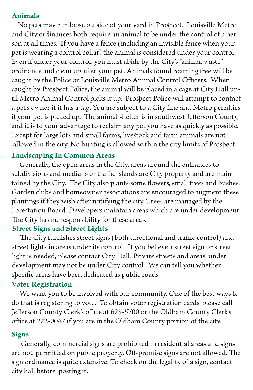#### **Animals**

 No pets may run loose outside of your yard in Prospect. Louisville Metro and City ordinances both require an animal to be under the control of a person at all times. If you have a fence (including an invisible fence when your pet is wearing a control collar) the animal is considered under your control. Even if under your control, you must abide by the City's "animal waste" ordinance and clean up after your pet. Animals found roaming free will be caught by the Police or Louisville Metro Animal Control Officers. When caught by Prospect Police, the animal will be placed in a cage at City Hall until Metro Animal Control picks it up. Prospect Police will attempt to contact a pet's owner if it has a tag. You are subject to a City fine and Metro penalties if your pet is picked up. The animal shelter is in southwest Jefferson County, and it is to your advantage to reclaim any pet you have as quickly as possible. Except for large lots and small farms, livestock and farm animals are not allowed in the city. No hunting is allowed within the city limits of Prospect.

#### **Landscaping In Common Areas**

 Generally, the open areas in the City, areas around the entrances to subdivisions and medians or traffic islands are City property and are maintained by the City. The City also plants some flowers, small trees and bushes. Garden clubs and homeowner associations are encouraged to augment these plantings if they wish after notifying the city. Trees are managed by the Forestation Board. Developers maintain areas which are under development. The City has no responsibility for these areas.

#### **Street Signs and Street Lights**

 The City furnishes street signs (both directional and traffic control) and street lights in areas under its control. If you believe a street sign or street light is needed, please contact City Hall. Private streets and areas under development may not be under City control. We can tell you whether specific areas have been dedicated as public roads.

#### **Voter Registration**

 We want you to be involved with our community. One of the best ways to do that is registering to vote. To obtain voter registration cards, please call Jefferson County Clerk's office at 625-5700 or the Oldham County Clerk's office at 222-0047 if you are in the Oldham County portion of the city.

#### **Signs**

 Generally, commercial signs are prohibited in residential areas and signs are not permitted on public property. Off-premise signs are not allowed. The sign ordinance is quite extensive. To check on the legality of a sign, contact city hall before posting it.